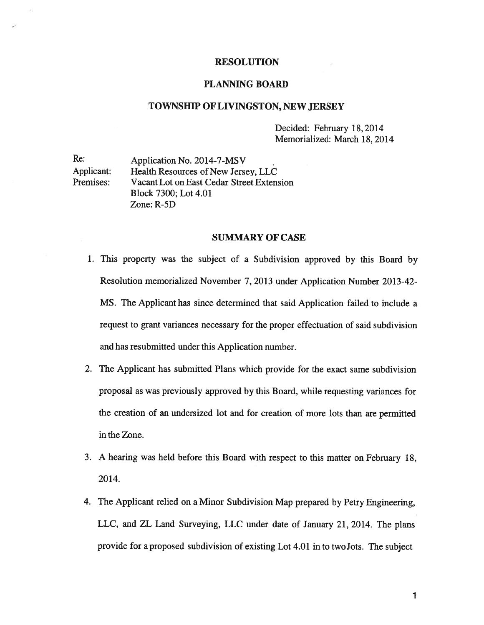# RESOLUTION

## PLANNING BOARD

### TOWNSHIP OF LIVINGSTON, NEW JERSEY

Decided: February 18,2014 Memorialized: March 18, 2014

Re: Application No. 2014-7-MSV Applicant: Health Resources of New Jersey, LLC Premises: Vacant Lot on East Cedar Street Extension Block 7300; Lot 4.01 Zone: R-5D

#### SUMMARY OF CASE

- 1. This property was the subject of <sup>a</sup> Subdivision approve<sup>d</sup> by this Board by Resolution memorialized November 7, 2013 under Application Number 2013-42-MS. The Applicant has since determined that said Application failed to include <sup>a</sup> reques<sup>t</sup> to gran<sup>t</sup> variances necessary for the proper effectuation of said subdivision and has resubmitted under this Application number.
- 2. The Applicant has submitted Plans which provide for the exact same subdivision proposal as was previously approved by this Board, while requesting variances for the creation of an undersized lot and for creation of more lots than are permitted in the Zone.
- 3. A hearing was held before this Board with respec<sup>t</sup> to this matter on February 18, 2014.
- 4. The Applicant relied on <sup>a</sup> Minor Subdivision Map prepared by Petry Engineering, LLC, and ZL Land Surveying, LLC under date of January 21, 2014. The <sup>p</sup>lans provide for <sup>a</sup> propose<sup>d</sup> subdivision of existing Lot 4.01 in to twoJots. The subject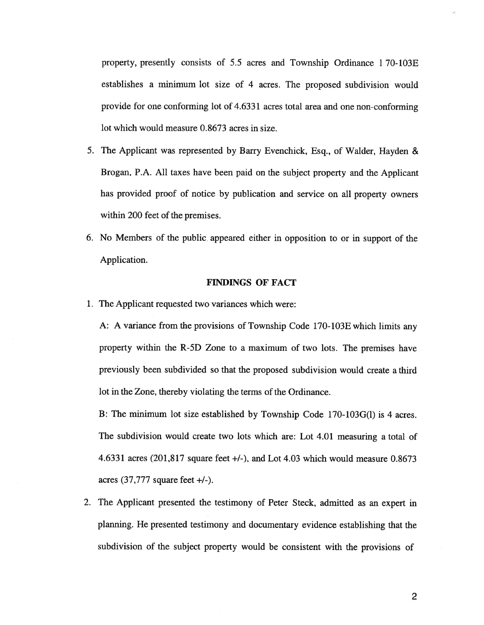property, presently consists of 5.5 acres and Township Ordinance 1 70-103E establishes <sup>a</sup> minimum lot size of 4 acres. The proposed subdivision would provide for one conforming lot of 4.6331 acres total area and one non-conforming lot which would measure 0.8673 acres in size.

- 5. The Applicant was represented by Barry Evenchick, Esq., of Walder, Hayden & Brogan, P.A. All taxes have been paid on the subject property and the Applicant has provided proof of notice by publication and service on all property owners within 200 feet of the premises.
- 6. No Members of the public appeared either in opposition to or in suppor<sup>t</sup> of the Application.

## FINDINGS OF FACT

1. The Applicant requested two variances which were:

A: <sup>A</sup> variance from the provisions of Township Code 170-103E which limits any property within the R-5D Zone to <sup>a</sup> maximum of two lots. The premises have previously been subdivided so that the proposed subdivision would create <sup>a</sup> third lot in the Zone, thereby violating the terms of the Ordinance.

B: The minimum lot size established by Township Code 170-103G(1) is 4 acres. The subdivision would create two lots which are: Lot 4.01 measuring <sup>a</sup> total of 4.6331 acres (201,817 square feet  $+/-$ ), and Lot 4.03 which would measure 0.8673 acres  $(37,777)$  square feet  $+/-$ ).

2. The Applicant presented the testimony of Peter Steck, admitted as an exper<sup>t</sup> in planning. He presented testimony and documentary evidence establishing that the subdivision of the subject property would be consistent with the provisions of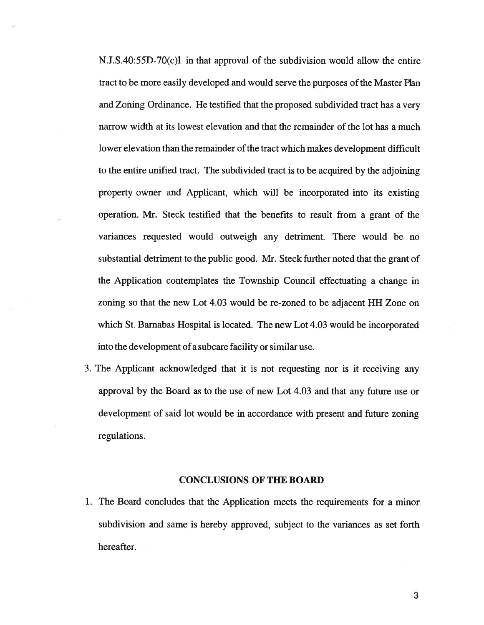N.J.S.40:55D-70(c)l in that approval of the subdivision would allow the entire tract to be more easily developed and would serve the purposes of the Master Plan and Zoning Ordinance. He testified that the proposed subdivided tract has <sup>a</sup> very narrow width at its lowest elevation and that the remainder of the lot has <sup>a</sup> much lower elevation than the remainder of the tract which makes development difficult to the entire unified tract. The subdivided tract is to be acquired by the adjoining property owner and Applicant, which will be incorporated into its existing operation. Mr. Steck testified that the benefits to result from <sup>a</sup> gran<sup>t</sup> of the variances requested would outweigh any detriment. There would be no substantial detriment to the public good. Mr. Steck further noted that the gran<sup>t</sup> of the Application contemplates the Township Council effectuating <sup>a</sup> change in zoning so that the new Lot 4.03 would be re-zoned to be adjacent HH Zone on which St. Barnabas Hospital is located. The new Lot 4.03 would be incorporated into the development of <sup>a</sup> subcare facility or similar use.

3. The Applicant acknowledged that it is not requesting nor is it receiving any approval by the Board as to the use of new Lot 4.03 and that any future use or development of said lot would be in accordance with presen<sup>t</sup> and future zoning regulations.

## CONCLUSIONS OF THE BOARD

1. The Board concludes that the Application meets the requirements for <sup>a</sup> minor subdivision and same is hereby approved, subject to the variances as set forth hereafter.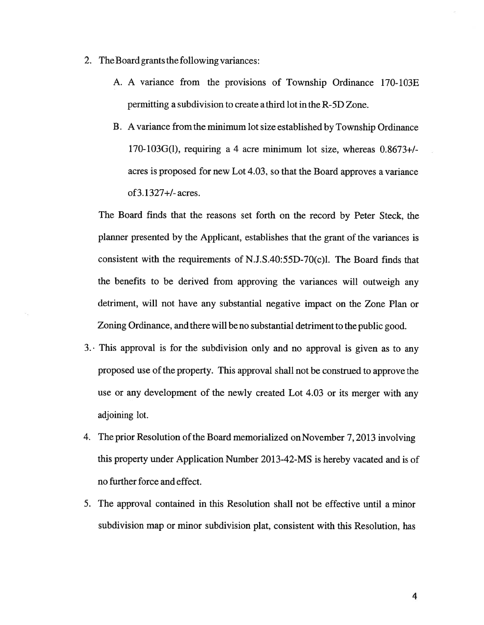- 2. The Board grants the following variances:
	- A. A variance from the provisions of Township Ordinance 170-103E permitting <sup>a</sup> subdivision to create <sup>a</sup> third lot in the R-5D Zone.
	- B. A variance fromthe minimum lot size established by Township Ordinance 170-103G(l), requiring <sup>a</sup> 4 acre minimum lot size, whereas 0.8673+! acres is proposed for new Lot 4.03, so that the Board approves <sup>a</sup> variance of 3.1327+/- acres.

The Board finds that the reasons set forth on the record by Peter Steck, the <sup>p</sup>lanner presented by the Applicant, establishes that the gran<sup>t</sup> of the variances is consistent with the requirements of N.J.S.40:55D-70(c)1. The Board finds that the benefits to be derived from approving the variances will outweigh any detriment, will not have any substantial negative impact on the Zone Plan or Zoning Ordinance, and there will be no substantial detriment to the public good.

- 3.• This approva<sup>l</sup> is for the subdivision only and no approva<sup>l</sup> is <sup>g</sup>iven as to any proposed use ofthe property. This approva<sup>l</sup> shall not be construed to approve the use or any development of the newly created Lot 4.03 or its merger with any adjoining lot.
- 4. The prior Resolution of the Board memorialized on November 7, 2013 involving this property under Application Number 2013-42-MS is hereby vacated and is of no further force and effect.
- 5. The approval contained in this Resolution shall not be effective until <sup>a</sup> minor subdivision map or minor subdivision plat, consistent with this Resolution, has